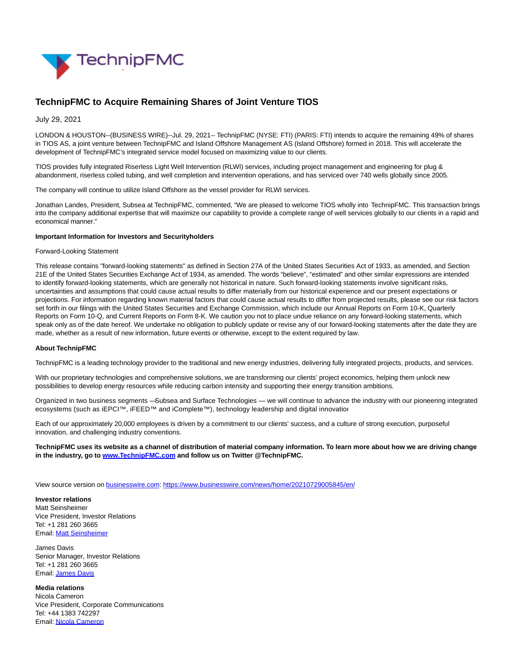

## **TechnipFMC to Acquire Remaining Shares of Joint Venture TIOS**

July 29, 2021

LONDON & HOUSTON--(BUSINESS WIRE)--Jul. 29, 2021-- TechnipFMC (NYSE: FTI) (PARIS: FTI) intends to acquire the remaining 49% of shares in TIOS AS, a joint venture between TechnipFMC and Island Offshore Management AS (Island Offshore) formed in 2018. This will accelerate the development of TechnipFMC's integrated service model focused on maximizing value to our clients.

TIOS provides fully integrated Riserless Light Well Intervention (RLWI) services, including project management and engineering for plug & abandonment, riserless coiled tubing, and well completion and intervention operations, and has serviced over 740 wells globally since 2005.

The company will continue to utilize Island Offshore as the vessel provider for RLWI services.

Jonathan Landes, President, Subsea at TechnipFMC, commented, "We are pleased to welcome TIOS wholly into TechnipFMC. This transaction brings into the company additional expertise that will maximize our capability to provide a complete range of well services globally to our clients in a rapid and economical manner."

## **Important Information for Investors and Securityholders**

## Forward-Looking Statement

This release contains "forward-looking statements" as defined in Section 27A of the United States Securities Act of 1933, as amended, and Section 21E of the United States Securities Exchange Act of 1934, as amended. The words "believe", "estimated" and other similar expressions are intended to identify forward-looking statements, which are generally not historical in nature. Such forward-looking statements involve significant risks, uncertainties and assumptions that could cause actual results to differ materially from our historical experience and our present expectations or projections. For information regarding known material factors that could cause actual results to differ from projected results, please see our risk factors set forth in our filings with the United States Securities and Exchange Commission, which include our Annual Reports on Form 10-K, Quarterly Reports on Form 10-Q, and Current Reports on Form 8-K. We caution you not to place undue reliance on any forward-looking statements, which speak only as of the date hereof. We undertake no obligation to publicly update or revise any of our forward-looking statements after the date they are made, whether as a result of new information, future events or otherwise, except to the extent required by law.

## **About TechnipFMC**

TechnipFMC is a leading technology provider to the traditional and new energy industries, delivering fully integrated projects, products, and services.

With our proprietary technologies and comprehensive solutions, we are transforming our clients' project economics, helping them unlock new possibilities to develop energy resources while reducing carbon intensity and supporting their energy transition ambitions.

Organized in two business segments — Subsea and Surface Technologies — we will continue to advance the industry with our pioneering integrated ecosystems (such as iEPCI™, iFEED™ and iComplete™), technology leadership and digital innovation

Each of our approximately 20,000 employees is driven by a commitment to our clients' success, and a culture of strong execution, purposeful innovation, and challenging industry conventions.

**TechnipFMC uses its website as a channel of distribution of material company information. To learn more about how we are driving change in the industry, go to [www.TechnipFMC.com a](https://cts.businesswire.com/ct/CT?id=smartlink&url=http%3A%2F%2Fwww.technipfmc.com%2F&esheet=52468411&newsitemid=20210729005845&lan=en-US&anchor=www.TechnipFMC.com&index=1&md5=a59dfb89e8be06d2cc2fbd5d79ef67af)nd follow us on Twitter @TechnipFMC.**

View source version on [businesswire.com:](http://businesswire.com/)<https://www.businesswire.com/news/home/20210729005845/en/>

**Investor relations** Matt Seinsheimer Vice President, Investor Relations Tel: +1 281 260 3665 Email[: Matt Seinsheimer](mailto:InvestorRelations@TechnipFMC.com)

James Davis Senior Manager, Investor Relations Tel: +1 281 260 3665 Email[: James Davis](mailto:investorrelations@technipfmc.com)

**Media relations** Nicola Cameron Vice President, Corporate Communications Tel: +44 1383 742297 Email[: Nicola Cameron](mailto:media@TechnipFMC.com)